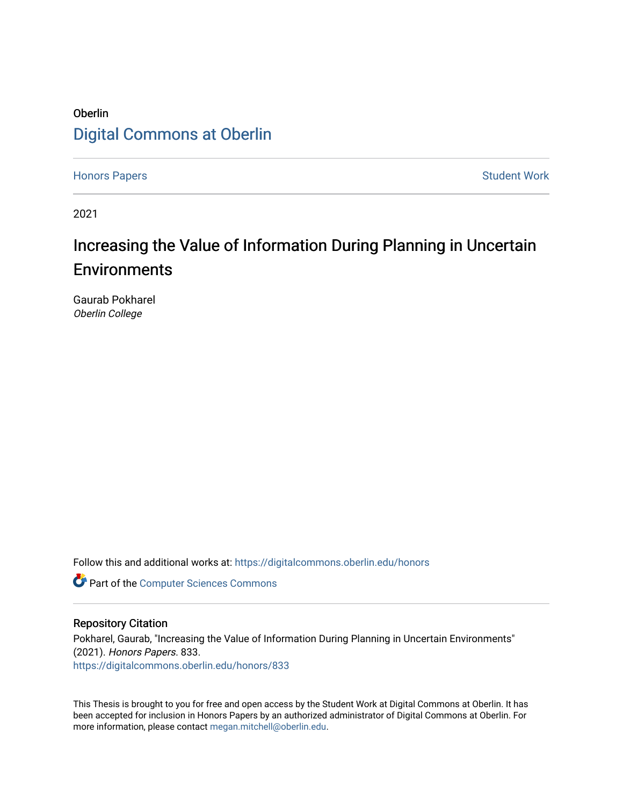## Oberlin [Digital Commons at Oberlin](https://digitalcommons.oberlin.edu/)

[Honors Papers](https://digitalcommons.oberlin.edu/honors) **Student Work** [Student Work](https://digitalcommons.oberlin.edu/students) **Student Work** Student Work **Student Work** 

2021

# Increasing the Value of Information During Planning in Uncertain **Environments**

Gaurab Pokharel Oberlin College

Follow this and additional works at: [https://digitalcommons.oberlin.edu/honors](https://digitalcommons.oberlin.edu/honors?utm_source=digitalcommons.oberlin.edu%2Fhonors%2F833&utm_medium=PDF&utm_campaign=PDFCoverPages) 

**Part of the [Computer Sciences Commons](http://network.bepress.com/hgg/discipline/142?utm_source=digitalcommons.oberlin.edu%2Fhonors%2F833&utm_medium=PDF&utm_campaign=PDFCoverPages)** 

## Repository Citation

Pokharel, Gaurab, "Increasing the Value of Information During Planning in Uncertain Environments" (2021). Honors Papers. 833. [https://digitalcommons.oberlin.edu/honors/833](https://digitalcommons.oberlin.edu/honors/833?utm_source=digitalcommons.oberlin.edu%2Fhonors%2F833&utm_medium=PDF&utm_campaign=PDFCoverPages) 

This Thesis is brought to you for free and open access by the Student Work at Digital Commons at Oberlin. It has been accepted for inclusion in Honors Papers by an authorized administrator of Digital Commons at Oberlin. For more information, please contact [megan.mitchell@oberlin.edu.](mailto:megan.mitchell@oberlin.edu)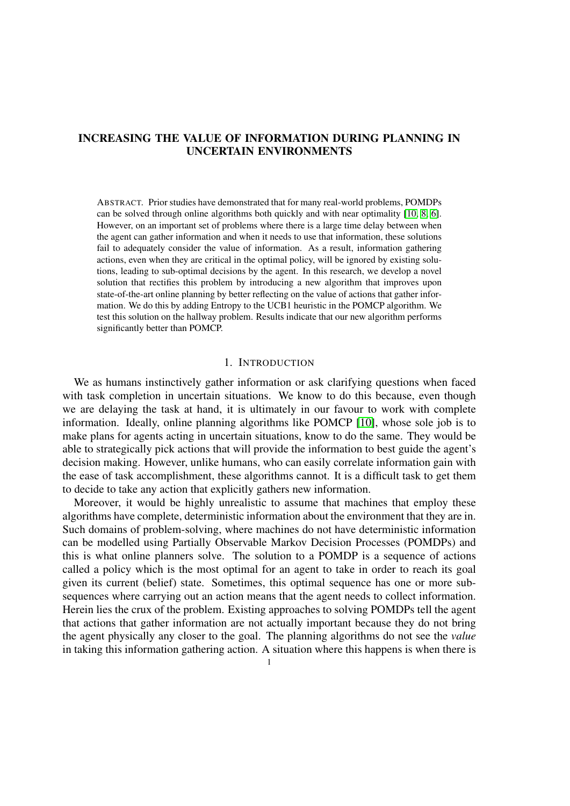## INCREASING THE VALUE OF INFORMATION DURING PLANNING IN UNCERTAIN ENVIRONMENTS

ABSTRACT. Prior studies have demonstrated that for many real-world problems, POMDPs can be solved through online algorithms both quickly and with near optimality [\[10,](#page-20-0) [8,](#page-20-1) [6\]](#page-20-2). However, on an important set of problems where there is a large time delay between when the agent can gather information and when it needs to use that information, these solutions fail to adequately consider the value of information. As a result, information gathering actions, even when they are critical in the optimal policy, will be ignored by existing solutions, leading to sub-optimal decisions by the agent. In this research, we develop a novel solution that rectifies this problem by introducing a new algorithm that improves upon state-of-the-art online planning by better reflecting on the value of actions that gather information. We do this by adding Entropy to the UCB1 heuristic in the POMCP algorithm. We test this solution on the hallway problem. Results indicate that our new algorithm performs significantly better than POMCP.

#### 1. INTRODUCTION

We as humans instinctively gather information or ask clarifying questions when faced with task completion in uncertain situations. We know to do this because, even though we are delaying the task at hand, it is ultimately in our favour to work with complete information. Ideally, online planning algorithms like POMCP [\[10\]](#page-20-0), whose sole job is to make plans for agents acting in uncertain situations, know to do the same. They would be able to strategically pick actions that will provide the information to best guide the agent's decision making. However, unlike humans, who can easily correlate information gain with the ease of task accomplishment, these algorithms cannot. It is a difficult task to get them to decide to take any action that explicitly gathers new information.

Moreover, it would be highly unrealistic to assume that machines that employ these algorithms have complete, deterministic information about the environment that they are in. Such domains of problem-solving, where machines do not have deterministic information can be modelled using Partially Observable Markov Decision Processes (POMDPs) and this is what online planners solve. The solution to a POMDP is a sequence of actions called a policy which is the most optimal for an agent to take in order to reach its goal given its current (belief) state. Sometimes, this optimal sequence has one or more subsequences where carrying out an action means that the agent needs to collect information. Herein lies the crux of the problem. Existing approaches to solving POMDPs tell the agent that actions that gather information are not actually important because they do not bring the agent physically any closer to the goal. The planning algorithms do not see the *value* in taking this information gathering action. A situation where this happens is when there is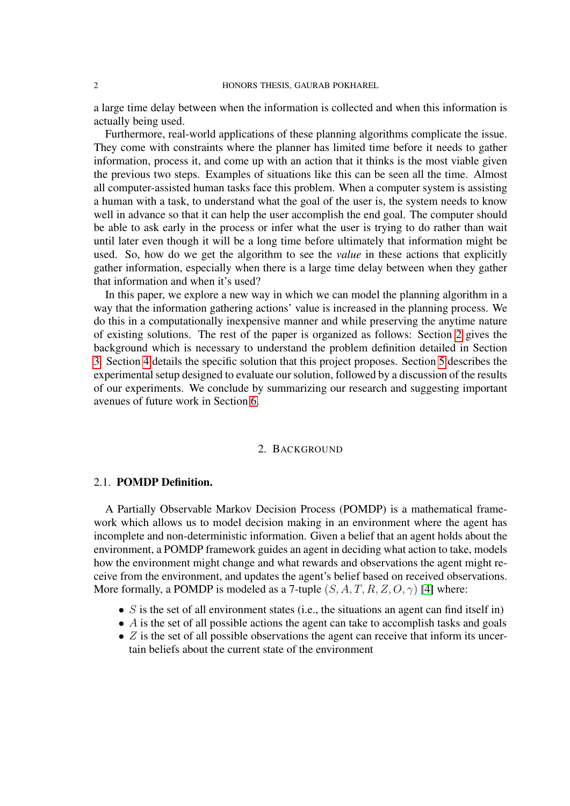a large time delay between when the information is collected and when this information is actually being used.

Furthermore, real-world applications of these planning algorithms complicate the issue. They come with constraints where the planner has limited time before it needs to gather information, process it, and come up with an action that it thinks is the most viable given the previous two steps. Examples of situations like this can be seen all the time. Almost all computer-assisted human tasks face this problem. When a computer system is assisting a human with a task, to understand what the goal of the user is, the system needs to know well in advance so that it can help the user accomplish the end goal. The computer should be able to ask early in the process or infer what the user is trying to do rather than wait until later even though it will be a long time before ultimately that information might be used. So, how do we get the algorithm to see the *value* in these actions that explicitly gather information, especially when there is a large time delay between when they gather that information and when it's used?

In this paper, we explore a new way in which we can model the planning algorithm in a way that the information gathering actions' value is increased in the planning process. We do this in a computationally inexpensive manner and while preserving the anytime nature of existing solutions. The rest of the paper is organized as follows: Section [2](#page-2-0) gives the background which is necessary to understand the problem definition detailed in Section [3.](#page-9-0) Section [4](#page-13-0) details the specific solution that this project proposes. Section [5](#page-16-0) describes the experimental setup designed to evaluate our solution, followed by a discussion of the results of our experiments. We conclude by summarizing our research and suggesting important avenues of future work in Section [6.](#page-18-0)

## 2. BACKGROUND

## <span id="page-2-0"></span>2.1. POMDP Definition.

A Partially Observable Markov Decision Process (POMDP) is a mathematical framework which allows us to model decision making in an environment where the agent has incomplete and non-deterministic information. Given a belief that an agent holds about the environment, a POMDP framework guides an agent in deciding what action to take, models how the environment might change and what rewards and observations the agent might receive from the environment, and updates the agent's belief based on received observations. More formally, a POMDP is modeled as a 7-tuple  $(S, A, T, R, Z, O, \gamma)$  [\[4\]](#page-20-3) where:

- $S$  is the set of all environment states (i.e., the situations an agent can find itself in)
- $\bullet$  A is the set of all possible actions the agent can take to accomplish tasks and goals
- $\bullet$  Z is the set of all possible observations the agent can receive that inform its uncertain beliefs about the current state of the environment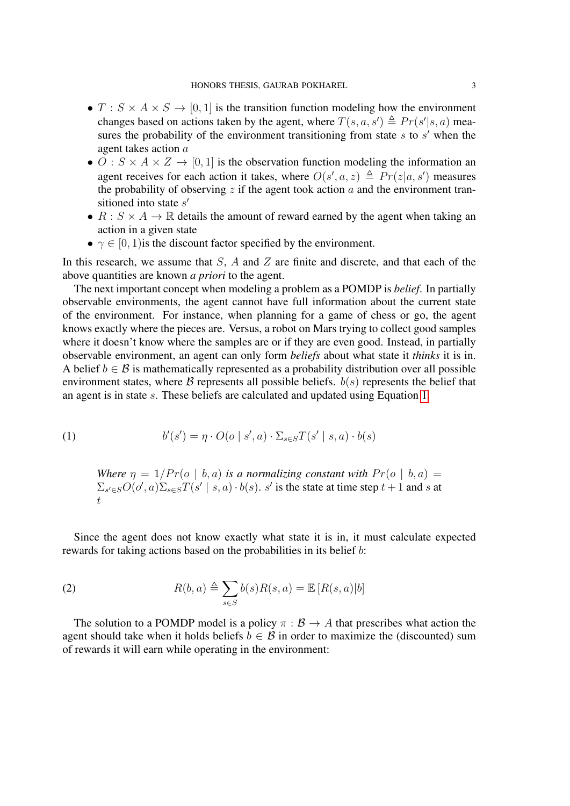- $T : S \times A \times S \rightarrow [0, 1]$  is the transition function modeling how the environment changes based on actions taken by the agent, where  $T(s, a, s') \triangleq Pr(s'|s, a)$  measures the probability of the environment transitioning from state  $s$  to  $s'$  when the agent takes action a
- $O: S \times A \times Z \rightarrow [0, 1]$  is the observation function modeling the information an agent receives for each action it takes, where  $O(s', a, z) \triangleq Pr(z|a, s')$  measures the probability of observing z if the agent took action  $\alpha$  and the environment transitioned into state  $s'$
- $R : S \times A \rightarrow \mathbb{R}$  details the amount of reward earned by the agent when taking an action in a given state
- $\gamma \in [0, 1)$  is the discount factor specified by the environment.

In this research, we assume that  $S$ ,  $A$  and  $Z$  are finite and discrete, and that each of the above quantities are known *a priori* to the agent.

The next important concept when modeling a problem as a POMDP is *belief*. In partially observable environments, the agent cannot have full information about the current state of the environment. For instance, when planning for a game of chess or go, the agent knows exactly where the pieces are. Versus, a robot on Mars trying to collect good samples where it doesn't know where the samples are or if they are even good. Instead, in partially observable environment, an agent can only form *beliefs* about what state it *thinks* it is in. A belief  $b \in \mathcal{B}$  is mathematically represented as a probability distribution over all possible environment states, where  $\beta$  represents all possible beliefs.  $b(s)$  represents the belief that an agent is in state s. These beliefs are calculated and updated using Equation [1.](#page-3-0)

(1) 
$$
b'(s') = \eta \cdot O(o \mid s', a) \cdot \Sigma_{s \in S} T(s' \mid s, a) \cdot b(s)
$$

<span id="page-3-0"></span>*Where*  $\eta = 1/Pr(o \mid b, a)$  *is a normalizing constant with*  $Pr(o \mid b, a)$  $\sum_{s' \in S} O(o', a) \sum_{s \in S} T(s' \mid s, a) \cdot b(s)$ . s' is the state at time step  $t + 1$  and s at  $t<sub>i</sub>$ 

Since the agent does not know exactly what state it is in, it must calculate expected rewards for taking actions based on the probabilities in its belief b:

(2) 
$$
R(b,a) \triangleq \sum_{s \in S} b(s)R(s,a) = \mathbb{E}[R(s,a)|b]
$$

The solution to a POMDP model is a policy  $\pi : \mathcal{B} \to A$  that prescribes what action the agent should take when it holds beliefs  $b \in \mathcal{B}$  in order to maximize the (discounted) sum of rewards it will earn while operating in the environment: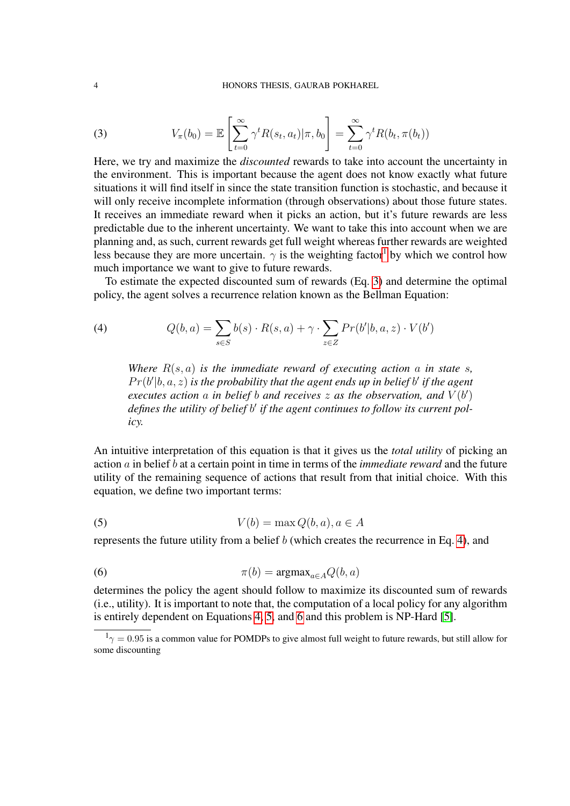#### 4 HONORS THESIS, GAURAB POKHAREL

<span id="page-4-1"></span>(3) 
$$
V_{\pi}(b_0) = \mathbb{E}\left[\sum_{t=0}^{\infty} \gamma^t R(s_t, a_t) | \pi, b_0\right] = \sum_{t=0}^{\infty} \gamma^t R(b_t, \pi(b_t))
$$

Here, we try and maximize the *discounted* rewards to take into account the uncertainty in the environment. This is important because the agent does not know exactly what future situations it will find itself in since the state transition function is stochastic, and because it will only receive incomplete information (through observations) about those future states. It receives an immediate reward when it picks an action, but it's future rewards are less predictable due to the inherent uncertainty. We want to take this into account when we are planning and, as such, current rewards get full weight whereas further rewards are weighted less because they are more uncertain.  $\gamma$  is the weighting factor<sup>[1](#page-4-0)</sup> by which we control how much importance we want to give to future rewards.

To estimate the expected discounted sum of rewards (Eq. [3\)](#page-4-1) and determine the optimal policy, the agent solves a recurrence relation known as the Bellman Equation:

(4) 
$$
Q(b,a) = \sum_{s \in S} b(s) \cdot R(s,a) + \gamma \cdot \sum_{z \in Z} Pr(b'|b,a,z) \cdot V(b')
$$

<span id="page-4-2"></span>*Where*  $R(s, a)$  *is the immediate reward of executing action* a *in state s*,  $Pr(b'|b, a, z)$  is the probability that the agent ends up in belief b' if the agent *executes action* a *in belief b* and receives  $z$  as the observation, and  $V(b')$ defines the utility of belief b' if the agent continues to follow its current pol*icy.*

An intuitive interpretation of this equation is that it gives us the *total utility* of picking an action a in belief b at a certain point in time in terms of the *immediate reward* and the future utility of the remaining sequence of actions that result from that initial choice. With this equation, we define two important terms:

<span id="page-4-3"></span>
$$
(5) \tV(b) = \max Q(b, a), a \in A
$$

represents the future utility from a belief  $b$  (which creates the recurrence in Eq. [4\)](#page-4-2), and

<span id="page-4-4"></span>(6) 
$$
\pi(b) = \operatorname{argmax}_{a \in A} Q(b, a)
$$

determines the policy the agent should follow to maximize its discounted sum of rewards (i.e., utility). It is important to note that, the computation of a local policy for any algorithm is entirely dependent on Equations [4,](#page-4-2) [5,](#page-4-3) and [6](#page-4-4) and this problem is NP-Hard [\[5\]](#page-20-4).

<span id="page-4-0"></span> $1<sub>\gamma</sub> = 0.95$  is a common value for POMDPs to give almost full weight to future rewards, but still allow for some discounting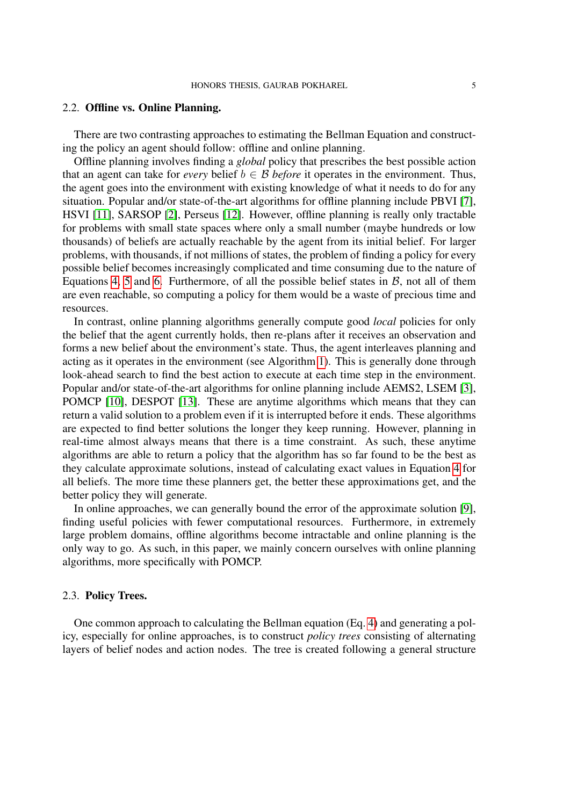## 2.2. Offline vs. Online Planning.

There are two contrasting approaches to estimating the Bellman Equation and constructing the policy an agent should follow: offline and online planning.

Offline planning involves finding a *global* policy that prescribes the best possible action that an agent can take for *every* belief  $b \in \mathcal{B}$  *before* it operates in the environment. Thus, the agent goes into the environment with existing knowledge of what it needs to do for any situation. Popular and/or state-of-the-art algorithms for offline planning include PBVI [\[7\]](#page-20-5), HSVI [\[11\]](#page-20-6), SARSOP [\[2\]](#page-19-0), Perseus [\[12\]](#page-20-7). However, offline planning is really only tractable for problems with small state spaces where only a small number (maybe hundreds or low thousands) of beliefs are actually reachable by the agent from its initial belief. For larger problems, with thousands, if not millions of states, the problem of finding a policy for every possible belief becomes increasingly complicated and time consuming due to the nature of Equations [4,](#page-4-2) [5](#page-4-3) and [6.](#page-4-4) Furthermore, of all the possible belief states in  $\beta$ , not all of them are even reachable, so computing a policy for them would be a waste of precious time and resources.

In contrast, online planning algorithms generally compute good *local* policies for only the belief that the agent currently holds, then re-plans after it receives an observation and forms a new belief about the environment's state. Thus, the agent interleaves planning and acting as it operates in the environment (see Algorithm [1\)](#page-7-0). This is generally done through look-ahead search to find the best action to execute at each time step in the environment. Popular and/or state-of-the-art algorithms for online planning include AEMS2, LSEM [\[3\]](#page-19-1), POMCP [\[10\]](#page-20-0), DESPOT [\[13\]](#page-20-8). These are anytime algorithms which means that they can return a valid solution to a problem even if it is interrupted before it ends. These algorithms are expected to find better solutions the longer they keep running. However, planning in real-time almost always means that there is a time constraint. As such, these anytime algorithms are able to return a policy that the algorithm has so far found to be the best as they calculate approximate solutions, instead of calculating exact values in Equation [4](#page-4-2) for all beliefs. The more time these planners get, the better these approximations get, and the better policy they will generate.

In online approaches, we can generally bound the error of the approximate solution [\[9\]](#page-20-9), finding useful policies with fewer computational resources. Furthermore, in extremely large problem domains, offline algorithms become intractable and online planning is the only way to go. As such, in this paper, we mainly concern ourselves with online planning algorithms, more specifically with POMCP.

#### 2.3. Policy Trees.

One common approach to calculating the Bellman equation (Eq. [4\)](#page-4-2) and generating a policy, especially for online approaches, is to construct *policy trees* consisting of alternating layers of belief nodes and action nodes. The tree is created following a general structure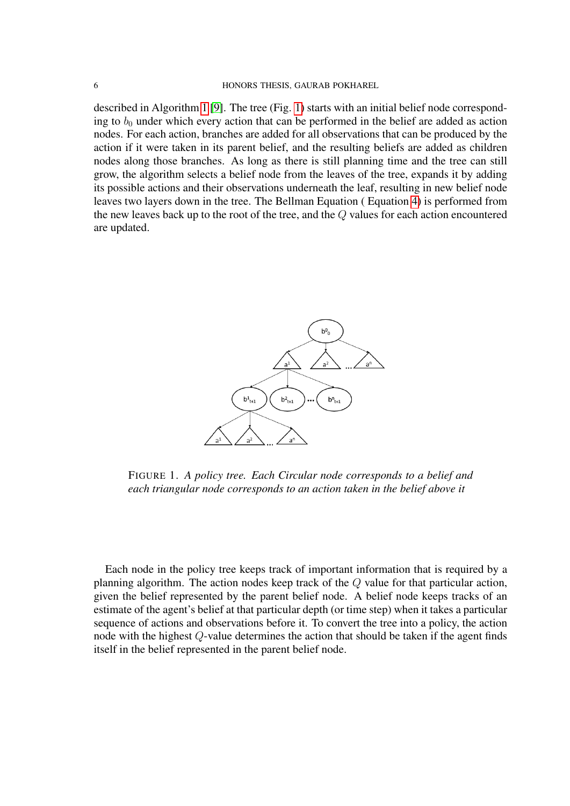#### 6 HONORS THESIS, GAURAB POKHAREL

described in Algorithm [1](#page-7-0) [\[9\]](#page-20-9). The tree (Fig. [1\)](#page-6-0) starts with an initial belief node corresponding to  $b_0$  under which every action that can be performed in the belief are added as action nodes. For each action, branches are added for all observations that can be produced by the action if it were taken in its parent belief, and the resulting beliefs are added as children nodes along those branches. As long as there is still planning time and the tree can still grow, the algorithm selects a belief node from the leaves of the tree, expands it by adding its possible actions and their observations underneath the leaf, resulting in new belief node leaves two layers down in the tree. The Bellman Equation ( Equation [4\)](#page-4-2) is performed from the new leaves back up to the root of the tree, and the Q values for each action encountered are updated.

<span id="page-6-0"></span>

FIGURE 1. *A policy tree. Each Circular node corresponds to a belief and each triangular node corresponds to an action taken in the belief above it*

Each node in the policy tree keeps track of important information that is required by a planning algorithm. The action nodes keep track of the Q value for that particular action, given the belief represented by the parent belief node. A belief node keeps tracks of an estimate of the agent's belief at that particular depth (or time step) when it takes a particular sequence of actions and observations before it. To convert the tree into a policy, the action node with the highest Q-value determines the action that should be taken if the agent finds itself in the belief represented in the parent belief node.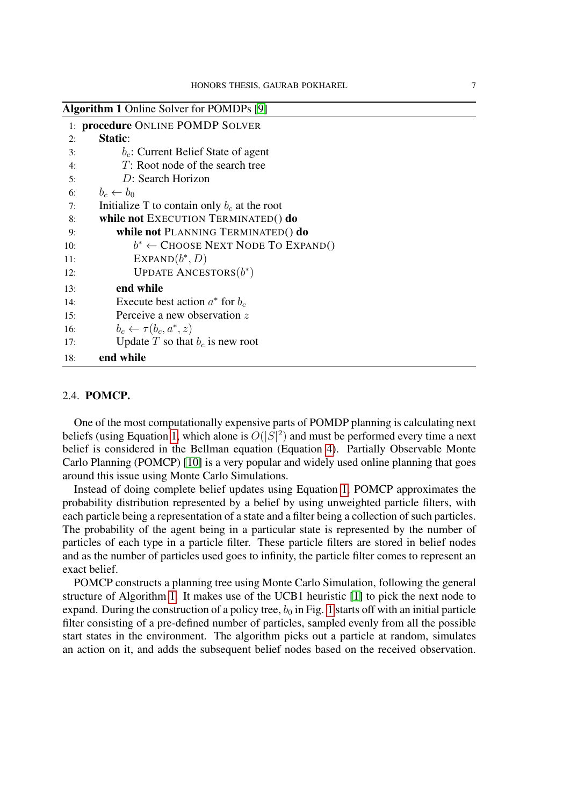<span id="page-7-0"></span>

| <b>Algorithm 1 Online Solver for POMDPs [9]</b> |                                                |  |  |  |  |
|-------------------------------------------------|------------------------------------------------|--|--|--|--|
|                                                 | 1: procedure ONLINE POMDP SOLVER               |  |  |  |  |
| 2:                                              | Static:                                        |  |  |  |  |
| 3:                                              | $b_c$ : Current Belief State of agent          |  |  |  |  |
| 4:                                              | $T$ : Root node of the search tree             |  |  |  |  |
| 5:                                              | D: Search Horizon                              |  |  |  |  |
| 6:                                              | $b_c \leftarrow b_0$                           |  |  |  |  |
| 7:                                              | Initialize T to contain only $b_c$ at the root |  |  |  |  |
| 8:                                              | while not EXECUTION TERMINATED() do            |  |  |  |  |
| 9:                                              | while not PLANNING TERMINATED() do             |  |  |  |  |
| 10:                                             | $b^* \leftarrow$ Choose Next Node To Expand()  |  |  |  |  |
| 11:                                             | $EXPAND(b^*, D)$                               |  |  |  |  |
| 12:                                             | <b>UPDATE ANCESTORS</b> $(b^*)$                |  |  |  |  |
| 13:                                             | end while                                      |  |  |  |  |
| 14:                                             | Execute best action $a^*$ for $b_c$            |  |  |  |  |
| 15:                                             | Perceive a new observation z                   |  |  |  |  |
| 16:                                             | $b_c \leftarrow \tau(b_c, a^*, z)$             |  |  |  |  |
| 17:                                             | Update T so that $b_c$ is new root             |  |  |  |  |
| 18:                                             | end while                                      |  |  |  |  |

#### 2.4. POMCP.

One of the most computationally expensive parts of POMDP planning is calculating next beliefs (using Equation [1,](#page-3-0) which alone is  $O(|S|^2)$  and must be performed every time a next belief is considered in the Bellman equation (Equation [4\)](#page-4-2). Partially Observable Monte Carlo Planning (POMCP) [\[10\]](#page-20-0) is a very popular and widely used online planning that goes around this issue using Monte Carlo Simulations.

Instead of doing complete belief updates using Equation [1,](#page-3-0) POMCP approximates the probability distribution represented by a belief by using unweighted particle filters, with each particle being a representation of a state and a filter being a collection of such particles. The probability of the agent being in a particular state is represented by the number of particles of each type in a particle filter. These particle filters are stored in belief nodes and as the number of particles used goes to infinity, the particle filter comes to represent an exact belief.

POMCP constructs a planning tree using Monte Carlo Simulation, following the general structure of Algorithm [1.](#page-7-0) It makes use of the UCB1 heuristic [\[1\]](#page-19-2) to pick the next node to expand. During the construction of a policy tree,  $b_0$  in Fig. [1](#page-6-0) starts off with an initial particle filter consisting of a pre-defined number of particles, sampled evenly from all the possible start states in the environment. The algorithm picks out a particle at random, simulates an action on it, and adds the subsequent belief nodes based on the received observation.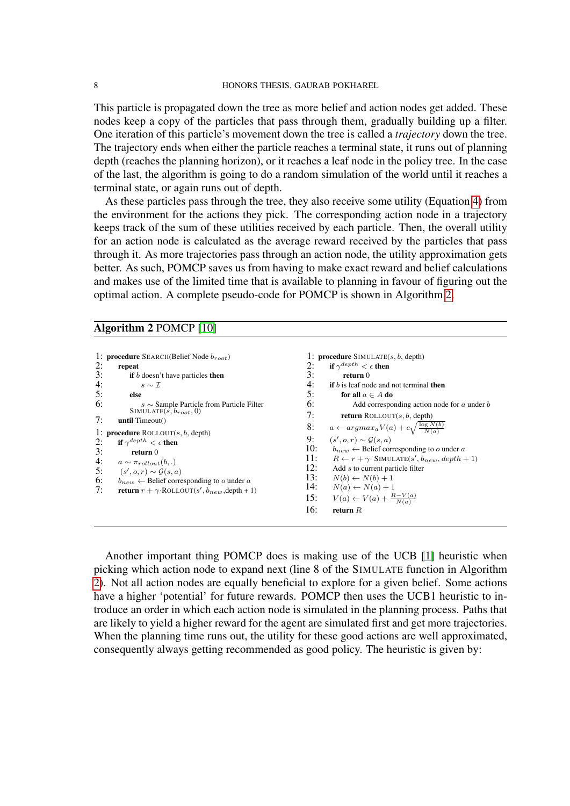This particle is propagated down the tree as more belief and action nodes get added. These nodes keep a copy of the particles that pass through them, gradually building up a filter. One iteration of this particle's movement down the tree is called a *trajectory* down the tree. The trajectory ends when either the particle reaches a terminal state, it runs out of planning depth (reaches the planning horizon), or it reaches a leaf node in the policy tree. In the case of the last, the algorithm is going to do a random simulation of the world until it reaches a terminal state, or again runs out of depth.

As these particles pass through the tree, they also receive some utility (Equation [4\)](#page-4-2) from the environment for the actions they pick. The corresponding action node in a trajectory keeps track of the sum of these utilities received by each particle. Then, the overall utility for an action node is calculated as the average reward received by the particles that pass through it. As more trajectories pass through an action node, the utility approximation gets better. As such, POMCP saves us from having to make exact reward and belief calculations and makes use of the limited time that is available to planning in favour of figuring out the optimal action. A complete pseudo-code for POMCP is shown in Algorithm [2.](#page-8-0)

#### <span id="page-8-0"></span>Algorithm 2 POMCP [\[10\]](#page-20-0)

```
1: procedure SEARCH(Belief Node b_{root})
2: repeat<br>3: if b3: if b doesn't have particles then<br>4. s \sim \tau4: s \sim \mathcal{I}<br>5: else
5: else
6: s \sim Sample Particle from Particle Filter<br>SIMULATE(s, b_{root}, 0)
7: until Timeout()
1: procedure ROLLOUT(s, b, depth)
2: if \gamma^{depth} < \epsilon then
3: return 0
4: a \sim \pi_{rollout}(b,.)<br>5: (s', o, r) \sim G(s, .5: (s', o, r) \sim \mathcal{G}(s, a)6: b_{new} \leftarrow Belief corresponding to o under a<br>7: return x + \alphaBOLLOUT(e' b denth + i
7: return r + \gamma \cdot \text{ROLLOUT}(s', b_{new}, \text{depth} + 1)1: procedure SIMULATE(s, b, depth)<br>2: if \gamma^{depth} < \epsilon then
                                                                                            2: if \gamma^{depth} < \epsilon then
                                                                                           3: return 0
                                                                                           4: if b is leaf node and not terminal then<br>5: for all a \in A do
                                                                                           5: for all a \in A do<br>6: Add correspo
                                                                                                              Add corresponding action node for a under b7: return ROLLOUT(s, b, \text{depth})8: a \leftarrow argmax_a V(a) + c \sqrt{\frac{\log N(b)}{N(a)}}\frac{9}{10}:
                                                                                                        \mathcal{G}(s, a) \sim \mathcal{G}(s, a)b_{new} \leftarrow Belief corresponding to o under a
                                                                                           11: R \leftarrow r + \gamma· SIMULATE(s', b<sub>new</sub>, depth + 1)
                                                                                          12: Add s to current particle filter<br>13: N(b) \leftarrow N(b) + 113: N(b) \leftarrow N(b) + 1<br>14: N(a) \leftarrow N(a) + 1N(a) \leftarrow N(a) + 115: V(a) \leftarrow V(a) + \frac{R-V(a)}{N(a)}16: return R
```
Another important thing POMCP does is making use of the UCB [\[1\]](#page-19-2) heuristic when picking which action node to expand next (line 8 of the SIMULATE function in Algorithm [2\)](#page-8-0). Not all action nodes are equally beneficial to explore for a given belief. Some actions have a higher 'potential' for future rewards. POMCP then uses the UCB1 heuristic to introduce an order in which each action node is simulated in the planning process. Paths that are likely to yield a higher reward for the agent are simulated first and get more trajectories. When the planning time runs out, the utility for these good actions are well approximated, consequently always getting recommended as good policy. The heuristic is given by: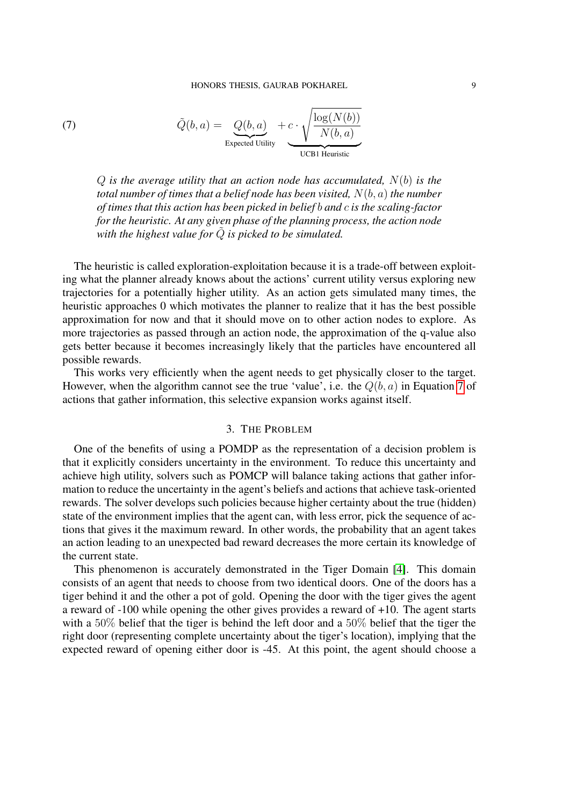(7) 
$$
\tilde{Q}(b, a) = Q(b, a) + c \cdot \sqrt{\frac{\log(N(b))}{N(b, a)}}
$$
  
Expected Utility

<span id="page-9-1"></span>Q *is the average utility that an action node has accumulated,* N(b) *is the total number of times that a belief node has been visited,* N(b, a) *the number of times that this action has been picked in belief* b *and* c *is the scaling-factor for the heuristic. At any given phase of the planning process, the action node* with the highest value for  $\tilde{Q}$  is picked to be simulated.

The heuristic is called exploration-exploitation because it is a trade-off between exploiting what the planner already knows about the actions' current utility versus exploring new trajectories for a potentially higher utility. As an action gets simulated many times, the heuristic approaches 0 which motivates the planner to realize that it has the best possible approximation for now and that it should move on to other action nodes to explore. As more trajectories as passed through an action node, the approximation of the q-value also gets better because it becomes increasingly likely that the particles have encountered all possible rewards.

This works very efficiently when the agent needs to get physically closer to the target. However, when the algorithm cannot see the true 'value', i.e. the  $Q(b, a)$  in Equation [7](#page-9-1) of actions that gather information, this selective expansion works against itself.

## 3. THE PROBLEM

<span id="page-9-0"></span>One of the benefits of using a POMDP as the representation of a decision problem is that it explicitly considers uncertainty in the environment. To reduce this uncertainty and achieve high utility, solvers such as POMCP will balance taking actions that gather information to reduce the uncertainty in the agent's beliefs and actions that achieve task-oriented rewards. The solver develops such policies because higher certainty about the true (hidden) state of the environment implies that the agent can, with less error, pick the sequence of actions that gives it the maximum reward. In other words, the probability that an agent takes an action leading to an unexpected bad reward decreases the more certain its knowledge of the current state.

This phenomenon is accurately demonstrated in the Tiger Domain [\[4\]](#page-20-3). This domain consists of an agent that needs to choose from two identical doors. One of the doors has a tiger behind it and the other a pot of gold. Opening the door with the tiger gives the agent a reward of -100 while opening the other gives provides a reward of +10. The agent starts with a 50% belief that the tiger is behind the left door and a 50% belief that the tiger the right door (representing complete uncertainty about the tiger's location), implying that the expected reward of opening either door is -45. At this point, the agent should choose a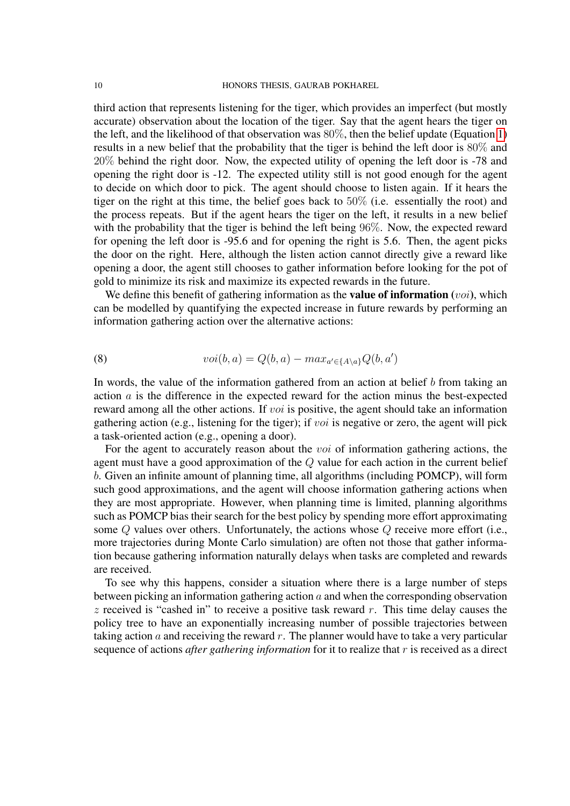third action that represents listening for the tiger, which provides an imperfect (but mostly accurate) observation about the location of the tiger. Say that the agent hears the tiger on the left, and the likelihood of that observation was 80%, then the belief update (Equation [1\)](#page-3-0) results in a new belief that the probability that the tiger is behind the left door is 80% and 20% behind the right door. Now, the expected utility of opening the left door is -78 and opening the right door is -12. The expected utility still is not good enough for the agent to decide on which door to pick. The agent should choose to listen again. If it hears the tiger on the right at this time, the belief goes back to 50% (i.e. essentially the root) and the process repeats. But if the agent hears the tiger on the left, it results in a new belief with the probability that the tiger is behind the left being 96%. Now, the expected reward for opening the left door is -95.6 and for opening the right is 5.6. Then, the agent picks the door on the right. Here, although the listen action cannot directly give a reward like opening a door, the agent still chooses to gather information before looking for the pot of gold to minimize its risk and maximize its expected rewards in the future.

We define this benefit of gathering information as the **value of information** (*voi*), which can be modelled by quantifying the expected increase in future rewards by performing an information gathering action over the alternative actions:

<span id="page-10-0"></span>(8) 
$$
voi(b, a) = Q(b, a) - max_{a' \in \{A \setminus a\}} Q(b, a')
$$

In words, the value of the information gathered from an action at belief  $b$  from taking an action a is the difference in the expected reward for the action minus the best-expected reward among all the other actions. If *voi* is positive, the agent should take an information gathering action (e.g., listening for the tiger); if voi is negative or zero, the agent will pick a task-oriented action (e.g., opening a door).

For the agent to accurately reason about the *voi* of information gathering actions, the agent must have a good approximation of the Q value for each action in the current belief b. Given an infinite amount of planning time, all algorithms (including POMCP), will form such good approximations, and the agent will choose information gathering actions when they are most appropriate. However, when planning time is limited, planning algorithms such as POMCP bias their search for the best policy by spending more effort approximating some Q values over others. Unfortunately, the actions whose Q receive more effort (i.e., more trajectories during Monte Carlo simulation) are often not those that gather information because gathering information naturally delays when tasks are completed and rewards are received.

To see why this happens, consider a situation where there is a large number of steps between picking an information gathering action  $a$  and when the corresponding observation  $z$  received is "cashed in" to receive a positive task reward r. This time delay causes the policy tree to have an exponentially increasing number of possible trajectories between taking action  $\alpha$  and receiving the reward  $r$ . The planner would have to take a very particular sequence of actions *after gathering information* for it to realize that r is received as a direct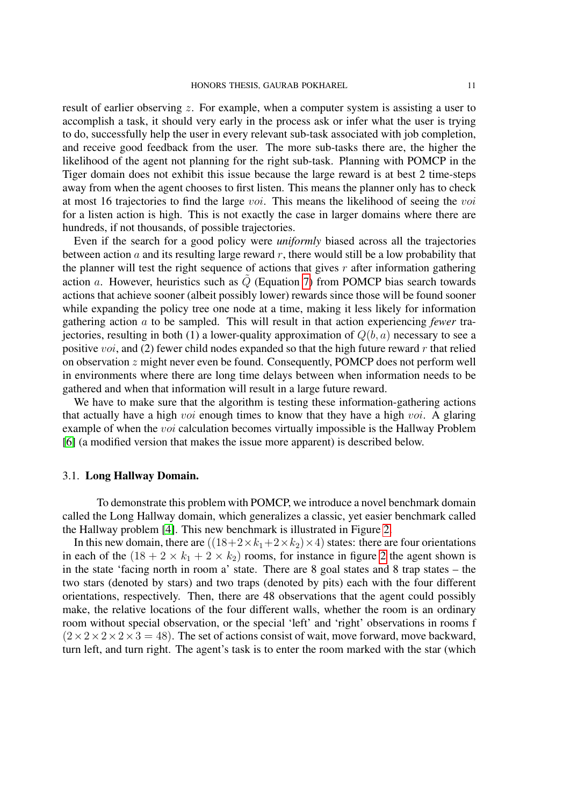result of earlier observing z. For example, when a computer system is assisting a user to accomplish a task, it should very early in the process ask or infer what the user is trying to do, successfully help the user in every relevant sub-task associated with job completion, and receive good feedback from the user. The more sub-tasks there are, the higher the likelihood of the agent not planning for the right sub-task. Planning with POMCP in the Tiger domain does not exhibit this issue because the large reward is at best 2 time-steps away from when the agent chooses to first listen. This means the planner only has to check at most 16 trajectories to find the large voi. This means the likelihood of seeing the voi for a listen action is high. This is not exactly the case in larger domains where there are hundreds, if not thousands, of possible trajectories.

Even if the search for a good policy were *uniformly* biased across all the trajectories between action  $\alpha$  and its resulting large reward  $r$ , there would still be a low probability that the planner will test the right sequence of actions that gives  $r$  after information gathering action a. However, heuristics such as  $\tilde{Q}$  (Equation [7\)](#page-9-1) from POMCP bias search towards actions that achieve sooner (albeit possibly lower) rewards since those will be found sooner while expanding the policy tree one node at a time, making it less likely for information gathering action a to be sampled. This will result in that action experiencing *fewer* trajectories, resulting in both (1) a lower-quality approximation of  $Q(b, a)$  necessary to see a positive *voi*, and (2) fewer child nodes expanded so that the high future reward  $r$  that relied on observation z might never even be found. Consequently, POMCP does not perform well in environments where there are long time delays between when information needs to be gathered and when that information will result in a large future reward.

We have to make sure that the algorithm is testing these information-gathering actions that actually have a high *voi* enough times to know that they have a high *voi*. A glaring example of when the voi calculation becomes virtually impossible is the Hallway Problem [\[6\]](#page-20-2) (a modified version that makes the issue more apparent) is described below.

## 3.1. Long Hallway Domain.

To demonstrate this problem with POMCP, we introduce a novel benchmark domain called the Long Hallway domain, which generalizes a classic, yet easier benchmark called the Hallway problem [\[4\]](#page-20-3). This new benchmark is illustrated in Figure [2.](#page-12-0)

In this new domain, there are  $((18+2 \times k_1+2 \times k_2) \times 4)$  states: there are four orientations in each of the  $(18 + 2 \times k_1 + 2 \times k_2)$  $(18 + 2 \times k_1 + 2 \times k_2)$  $(18 + 2 \times k_1 + 2 \times k_2)$  rooms, for instance in figure 2 the agent shown is in the state 'facing north in room a' state. There are 8 goal states and 8 trap states – the two stars (denoted by stars) and two traps (denoted by pits) each with the four different orientations, respectively. Then, there are 48 observations that the agent could possibly make, the relative locations of the four different walls, whether the room is an ordinary room without special observation, or the special 'left' and 'right' observations in rooms f  $(2\times2\times2\times3=48)$ . The set of actions consist of wait, move forward, move backward, turn left, and turn right. The agent's task is to enter the room marked with the star (which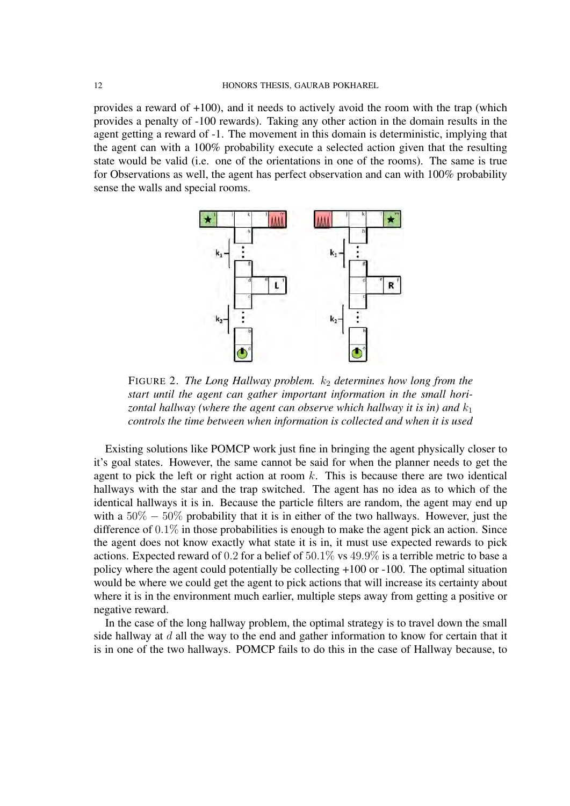provides a reward of +100), and it needs to actively avoid the room with the trap (which provides a penalty of -100 rewards). Taking any other action in the domain results in the agent getting a reward of -1. The movement in this domain is deterministic, implying that the agent can with a 100% probability execute a selected action given that the resulting state would be valid (i.e. one of the orientations in one of the rooms). The same is true for Observations as well, the agent has perfect observation and can with 100% probability sense the walls and special rooms.

<span id="page-12-0"></span>

FIGURE 2. *The Long Hallway problem.*  $k_2$  *determines how long from the start until the agent can gather important information in the small horizontal hallway (where the agent can observe which hallway it is in) and*  $k_1$ *controls the time between when information is collected and when it is used*

Existing solutions like POMCP work just fine in bringing the agent physically closer to it's goal states. However, the same cannot be said for when the planner needs to get the agent to pick the left or right action at room  $k$ . This is because there are two identical hallways with the star and the trap switched. The agent has no idea as to which of the identical hallways it is in. Because the particle filters are random, the agent may end up with a  $50\% - 50\%$  probability that it is in either of the two hallways. However, just the difference of 0.1% in those probabilities is enough to make the agent pick an action. Since the agent does not know exactly what state it is in, it must use expected rewards to pick actions. Expected reward of 0.2 for a belief of 50.1% vs 49.9% is a terrible metric to base a policy where the agent could potentially be collecting +100 or -100. The optimal situation would be where we could get the agent to pick actions that will increase its certainty about where it is in the environment much earlier, multiple steps away from getting a positive or negative reward.

In the case of the long hallway problem, the optimal strategy is to travel down the small side hallway at  $d$  all the way to the end and gather information to know for certain that it is in one of the two hallways. POMCP fails to do this in the case of Hallway because, to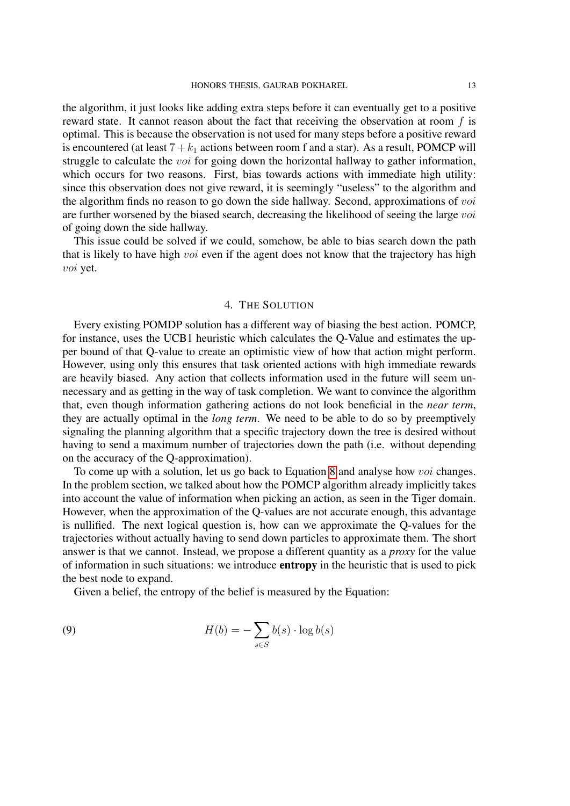the algorithm, it just looks like adding extra steps before it can eventually get to a positive reward state. It cannot reason about the fact that receiving the observation at room  $f$  is optimal. This is because the observation is not used for many steps before a positive reward is encountered (at least  $7 + k_1$  actions between room f and a star). As a result, POMCP will struggle to calculate the *voi* for going down the horizontal hallway to gather information, which occurs for two reasons. First, bias towards actions with immediate high utility: since this observation does not give reward, it is seemingly "useless" to the algorithm and the algorithm finds no reason to go down the side hallway. Second, approximations of voi are further worsened by the biased search, decreasing the likelihood of seeing the large voi of going down the side hallway.

This issue could be solved if we could, somehow, be able to bias search down the path that is likely to have high *voi* even if the agent does not know that the trajectory has high voi yet.

#### 4. THE SOLUTION

<span id="page-13-0"></span>Every existing POMDP solution has a different way of biasing the best action. POMCP, for instance, uses the UCB1 heuristic which calculates the Q-Value and estimates the upper bound of that Q-value to create an optimistic view of how that action might perform. However, using only this ensures that task oriented actions with high immediate rewards are heavily biased. Any action that collects information used in the future will seem unnecessary and as getting in the way of task completion. We want to convince the algorithm that, even though information gathering actions do not look beneficial in the *near term*, they are actually optimal in the *long term*. We need to be able to do so by preemptively signaling the planning algorithm that a specific trajectory down the tree is desired without having to send a maximum number of trajectories down the path (i.e. without depending on the accuracy of the Q-approximation).

To come up with a solution, let us go back to Equation [8](#page-10-0) and analyse how voi changes. In the problem section, we talked about how the POMCP algorithm already implicitly takes into account the value of information when picking an action, as seen in the Tiger domain. However, when the approximation of the Q-values are not accurate enough, this advantage is nullified. The next logical question is, how can we approximate the Q-values for the trajectories without actually having to send down particles to approximate them. The short answer is that we cannot. Instead, we propose a different quantity as a *proxy* for the value of information in such situations: we introduce entropy in the heuristic that is used to pick the best node to expand.

<span id="page-13-1"></span>Given a belief, the entropy of the belief is measured by the Equation:

(9) 
$$
H(b) = -\sum_{s \in S} b(s) \cdot \log b(s)
$$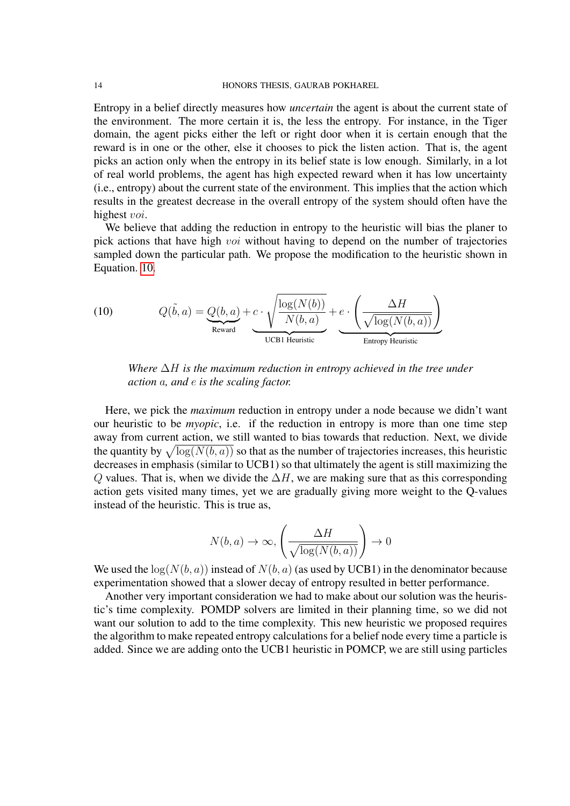Entropy in a belief directly measures how *uncertain* the agent is about the current state of the environment. The more certain it is, the less the entropy. For instance, in the Tiger domain, the agent picks either the left or right door when it is certain enough that the reward is in one or the other, else it chooses to pick the listen action. That is, the agent picks an action only when the entropy in its belief state is low enough. Similarly, in a lot of real world problems, the agent has high expected reward when it has low uncertainty (i.e., entropy) about the current state of the environment. This implies that the action which results in the greatest decrease in the overall entropy of the system should often have the highest voi.

We believe that adding the reduction in entropy to the heuristic will bias the planer to pick actions that have high *voi* without having to depend on the number of trajectories sampled down the particular path. We propose the modification to the heuristic shown in Equation. [10.](#page-14-0)

<span id="page-14-0"></span>(10) 
$$
Q(\tilde{b}, a) = Q(b, a) + c \cdot \sqrt{\frac{\log(N(b))}{N(b, a)}} + e \cdot \left(\frac{\Delta H}{\sqrt{\log(N(b, a))}}\right)
$$
  
 REward UCB1 Heuristic Entropy Heuristic

*Where* ∆H *is the maximum reduction in entropy achieved in the tree under action* a*, and* e *is the scaling factor.*

Here, we pick the *maximum* reduction in entropy under a node because we didn't want our heuristic to be *myopic*, i.e. if the reduction in entropy is more than one time step away from current action, we still wanted to bias towards that reduction. Next, we divide the quantity by  $\sqrt{\log(N(b, a))}$  so that as the number of trajectories increases, this heuristic decreases in emphasis (similar to UCB1) so that ultimately the agent is still maximizing the Q values. That is, when we divide the  $\Delta H$ , we are making sure that as this corresponding action gets visited many times, yet we are gradually giving more weight to the Q-values instead of the heuristic. This is true as,

$$
N(b, a) \to \infty, \left(\frac{\Delta H}{\sqrt{\log(N(b, a))}}\right) \to 0
$$

We used the  $log(N(b, a))$  instead of  $N(b, a)$  (as used by UCB1) in the denominator because experimentation showed that a slower decay of entropy resulted in better performance.

Another very important consideration we had to make about our solution was the heuristic's time complexity. POMDP solvers are limited in their planning time, so we did not want our solution to add to the time complexity. This new heuristic we proposed requires the algorithm to make repeated entropy calculations for a belief node every time a particle is added. Since we are adding onto the UCB1 heuristic in POMCP, we are still using particles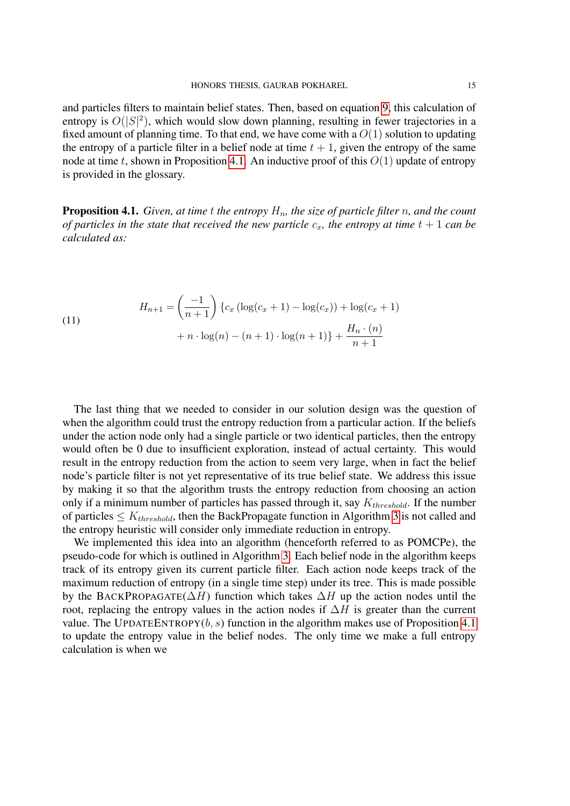and particles filters to maintain belief states. Then, based on equation [9,](#page-13-1) this calculation of entropy is  $O(|S|^2)$ , which would slow down planning, resulting in fewer trajectories in a fixed amount of planning time. To that end, we have come with a  $O(1)$  solution to updating the entropy of a particle filter in a belief node at time  $t + 1$ , given the entropy of the same node at time t, shown in Proposition [4.1.](#page-15-0) An inductive proof of this  $O(1)$  update of entropy is provided in the glossary.

<span id="page-15-0"></span>**Proposition 4.1.** *Given, at time t the entropy*  $H_n$ *, the size of particle filter n, and the count of particles in the state that received the new particle*  $c_x$ *, the entropy at time*  $t + 1$  *can be calculated as:*

(11)  

$$
H_{n+1} = \left(\frac{-1}{n+1}\right) \{c_x \left(\log(c_x + 1) - \log(c_x)\right) + \log(c_x + 1) + n \cdot \log(n) - (n+1) \cdot \log(n+1)\} + \frac{H_n \cdot (n)}{n+1}
$$

The last thing that we needed to consider in our solution design was the question of when the algorithm could trust the entropy reduction from a particular action. If the beliefs under the action node only had a single particle or two identical particles, then the entropy would often be 0 due to insufficient exploration, instead of actual certainty. This would result in the entropy reduction from the action to seem very large, when in fact the belief node's particle filter is not yet representative of its true belief state. We address this issue by making it so that the algorithm trusts the entropy reduction from choosing an action only if a minimum number of particles has passed through it, say  $K_{threshold}$ . If the number of particles  $\leq K_{threshold}$ , then the BackPropagate function in Algorithm [3](#page-16-1) is not called and the entropy heuristic will consider only immediate reduction in entropy.

We implemented this idea into an algorithm (henceforth referred to as POMCPe), the pseudo-code for which is outlined in Algorithm [3.](#page-16-1) Each belief node in the algorithm keeps track of its entropy given its current particle filter. Each action node keeps track of the maximum reduction of entropy (in a single time step) under its tree. This is made possible by the BACKPROPAGATE( $\Delta H$ ) function which takes  $\Delta H$  up the action nodes until the root, replacing the entropy values in the action nodes if  $\Delta H$  is greater than the current value. The UPDATEENTROPY $(b, s)$  function in the algorithm makes use of Proposition [4.1](#page-15-0) to update the entropy value in the belief nodes. The only time we make a full entropy calculation is when we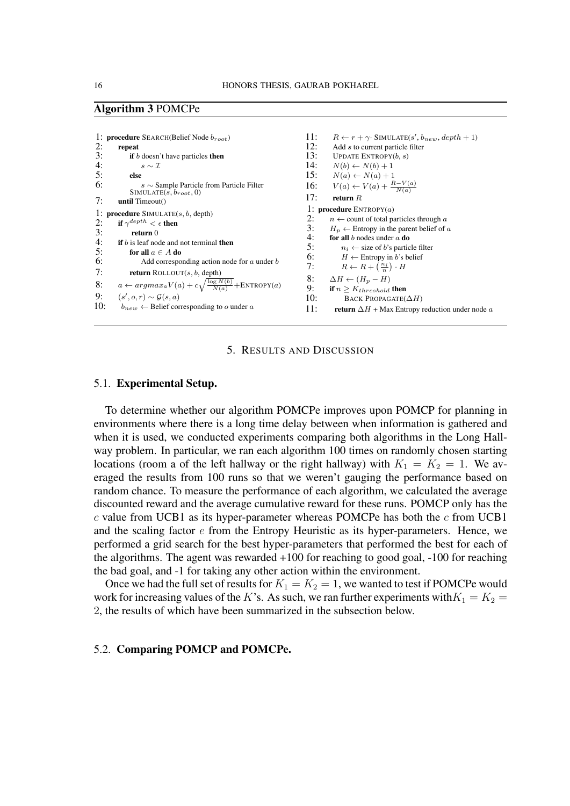### <span id="page-16-1"></span>Algorithm 3 POMCPe

```
1: procedure SEARCH(Belief Node broot)
2: repeat<br>3: if b3: if b doesn't have particles then<br>4: s \sim \mathcal{I}4: s \sim \mathcal{I}<br>5: else
5: else 6:s \sim Sample Particle from Particle Filter
               SIMULATE(s, b_{root}, 0)7: until Timeout()
1: procedure SIMULATE(s, b, depth)2: if \gamma^{depth} < \epsilon then
3: return 0<br>4: if b is leaf now
          if b is leaf node and not terminal then
5: for all a \in A do \overline{6}: Add correspondent
                    Add corresponding action node for a under b7: return ROLLOUT(s, b, depth)
8: a \leftarrow argmax_a V(a) + c \sqrt{\frac{\log N(b)}{N(a)}} + \text{ENTROPY}(a)9: (s', o, r) \sim \mathcal{G}(s, a)10: b_{new} \leftarrow Belief corresponding to o under a
                                                                                                11: R \leftarrow r + \gamma· SIMULATE(s', b<sub>new</sub>, depth + 1)
                                                                                               12: Add s to current particle filter<br>13: UPDATE ENTROPY(b, s)UPDATE ENTROPY(b, s)14: N(b) \leftarrow N(b) + 1<br>15: N(a) \leftarrow N(a) + 1N(a) \leftarrow N(a) + 116: V(a) \leftarrow V(a) + \frac{R - V(a)}{N(a)}17: return R1: procedure ENTROPY(a)<br>
? \qquad n \leftarrow count of total pa
                                                                                                2: n \leftarrow count of total particles through a<br>3: H_n \leftarrow Entropy in the parent belief of a
                                                                                                3: H_p \leftarrow Entropy in the parent belief of a<br>4: for all b nodes under a do
                                                                                                4: for all b nodes under a do<br>5: n_i \leftarrow size of b's partic
                                                                                                5: n_i \leftarrow size of b's particle filter<br>6: H \leftarrow Entropy in b's belief
                                                                                                6: H \leftarrow Entropy in b's belief<br>7: R \leftarrow R + \left(\frac{n_i}{r}\right) \cdot H7: R \leftarrow R + \left(\frac{n_i}{n}\right) \cdot H8: \Delta H \leftarrow (H_p - H)<br>9: if n > Kthroabold
                                                                                                9: if n \geq K_{threshold} then<br>10: BACK PROPAGATE(
                                                                                                                 BACK PROPAGATE(\Delta H)
                                                                                               11: return \Delta H + Max Entropy reduction under node a
```
#### 5. RESULTS AND DISCUSSION

#### <span id="page-16-0"></span>5.1. Experimental Setup.

To determine whether our algorithm POMCPe improves upon POMCP for planning in environments where there is a long time delay between when information is gathered and when it is used, we conducted experiments comparing both algorithms in the Long Hallway problem. In particular, we ran each algorithm 100 times on randomly chosen starting locations (room a of the left hallway or the right hallway) with  $K_1 = K_2 = 1$ . We averaged the results from 100 runs so that we weren't gauging the performance based on random chance. To measure the performance of each algorithm, we calculated the average discounted reward and the average cumulative reward for these runs. POMCP only has the  $c$  value from UCB1 as its hyper-parameter whereas POMCPe has both the  $c$  from UCB1 and the scaling factor e from the Entropy Heuristic as its hyper-parameters. Hence, we performed a grid search for the best hyper-parameters that performed the best for each of the algorithms. The agent was rewarded +100 for reaching to good goal, -100 for reaching the bad goal, and -1 for taking any other action within the environment.

Once we had the full set of results for  $K_1 = K_2 = 1$ , we wanted to test if POMCPe would work for increasing values of the K's. As such, we ran further experiments with  $K_1 = K_2$  = 2, the results of which have been summarized in the subsection below.

#### 5.2. Comparing POMCP and POMCPe.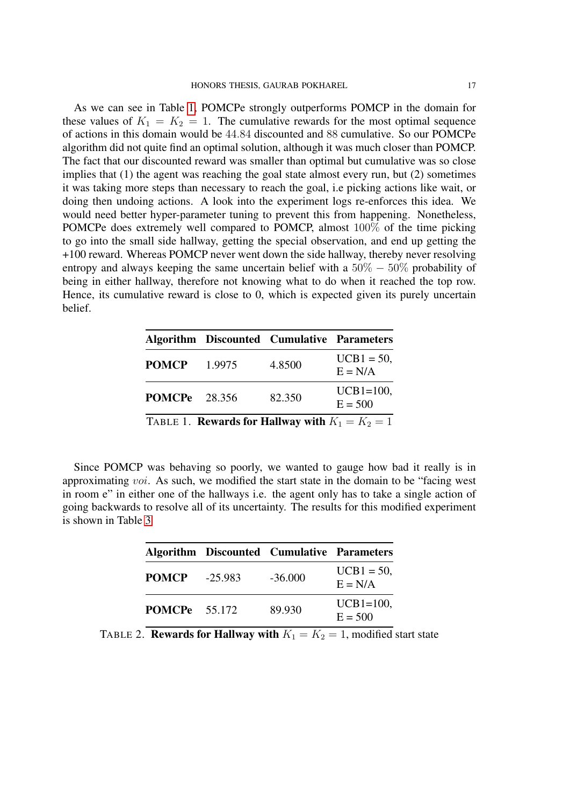As we can see in Table [1,](#page-17-0) POMCPe strongly outperforms POMCP in the domain for these values of  $K_1 = K_2 = 1$ . The cumulative rewards for the most optimal sequence of actions in this domain would be 44.84 discounted and 88 cumulative. So our POMCPe algorithm did not quite find an optimal solution, although it was much closer than POMCP. The fact that our discounted reward was smaller than optimal but cumulative was so close implies that (1) the agent was reaching the goal state almost every run, but (2) sometimes it was taking more steps than necessary to reach the goal, i.e picking actions like wait, or doing then undoing actions. A look into the experiment logs re-enforces this idea. We would need better hyper-parameter tuning to prevent this from happening. Nonetheless, POMCPe does extremely well compared to POMCP, almost 100% of the time picking to go into the small side hallway, getting the special observation, and end up getting the +100 reward. Whereas POMCP never went down the side hallway, thereby never resolving entropy and always keeping the same uncertain belief with a  $50\% - 50\%$  probability of being in either hallway, therefore not knowing what to do when it reached the top row. Hence, its cumulative reward is close to 0, which is expected given its purely uncertain belief.

<span id="page-17-0"></span>

|                                                          |        | <b>Algorithm Discounted Cumulative Parameters</b> |                            |  |  |
|----------------------------------------------------------|--------|---------------------------------------------------|----------------------------|--|--|
| <b>POMCP</b>                                             | 1.9975 | 4.8500                                            | $UCB1 = 50$ ,<br>$E = N/A$ |  |  |
| <b>POMCPe</b> 28.356                                     |        | 82.350                                            | $UCB1=100$ ,<br>$E = 500$  |  |  |
| TABLE 1. <b>Rewards for Hallway with</b> $K_1 = K_2 = 1$ |        |                                                   |                            |  |  |

Since POMCP was behaving so poorly, we wanted to gauge how bad it really is in approximating voi. As such, we modified the start state in the domain to be "facing west in room e" in either one of the hallways i.e. the agent only has to take a single action of going backwards to resolve all of its uncertainty. The results for this modified experiment is shown in Table [3](#page-18-1)

|                      |         | <b>Algorithm Discounted Cumulative Parameters</b> |                            |
|----------------------|---------|---------------------------------------------------|----------------------------|
| <b>POMCP</b>         | -25.983 | $-36,000$                                         | $UCB1 = 50$ ,<br>$E = N/A$ |
| <b>POMCPe</b> 55.172 |         | 89.930                                            | $UCB1=100$ ,<br>$E = 500$  |

TABLE 2. **Rewards for Hallway with**  $K_1 = K_2 = 1$ , modified start state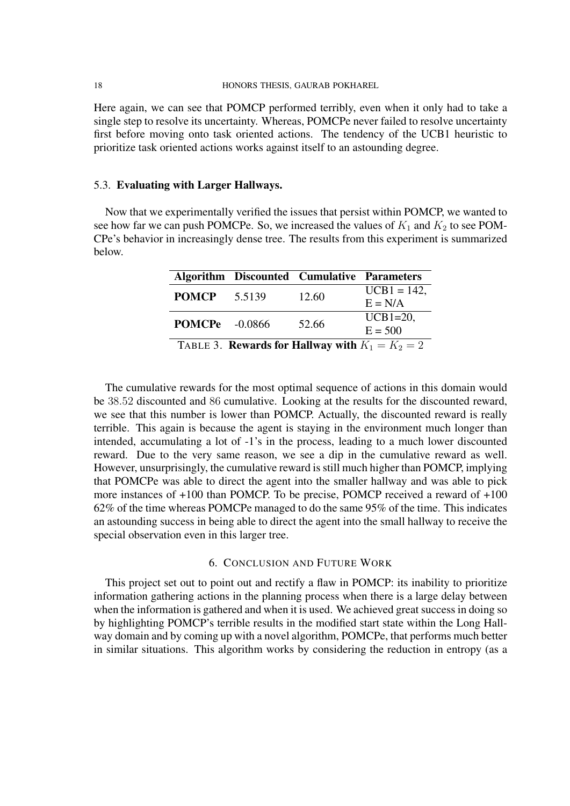Here again, we can see that POMCP performed terribly, even when it only had to take a single step to resolve its uncertainty. Whereas, POMCPe never failed to resolve uncertainty first before moving onto task oriented actions. The tendency of the UCB1 heuristic to prioritize task oriented actions works against itself to an astounding degree.

## 5.3. Evaluating with Larger Hallways.

<span id="page-18-1"></span>Now that we experimentally verified the issues that persist within POMCP, we wanted to see how far we can push POMCPe. So, we increased the values of  $K_1$  and  $K_2$  to see POM-CPe's behavior in increasingly dense tree. The results from this experiment is summarized below.

|                                                          |                       | <b>Algorithm Discounted Cumulative Parameters</b> |                |  |  |
|----------------------------------------------------------|-----------------------|---------------------------------------------------|----------------|--|--|
| <b>POMCP</b>                                             | 5.5139                | 12.60                                             | $UCB1 = 142$ , |  |  |
|                                                          |                       |                                                   | $E = N/A$      |  |  |
|                                                          | <b>POMCPe</b> -0.0866 | 52.66                                             | $UCB1=20$ ,    |  |  |
|                                                          |                       |                                                   | $E = 500$      |  |  |
| TABLE 3. <b>Rewards for Hallway with</b> $K_1 = K_2 = 2$ |                       |                                                   |                |  |  |

The cumulative rewards for the most optimal sequence of actions in this domain would be 38.52 discounted and 86 cumulative. Looking at the results for the discounted reward, we see that this number is lower than POMCP. Actually, the discounted reward is really terrible. This again is because the agent is staying in the environment much longer than intended, accumulating a lot of -1's in the process, leading to a much lower discounted reward. Due to the very same reason, we see a dip in the cumulative reward as well. However, unsurprisingly, the cumulative reward is still much higher than POMCP, implying that POMCPe was able to direct the agent into the smaller hallway and was able to pick more instances of +100 than POMCP. To be precise, POMCP received a reward of +100 62% of the time whereas POMCPe managed to do the same 95% of the time. This indicates an astounding success in being able to direct the agent into the small hallway to receive the special observation even in this larger tree.

## 6. CONCLUSION AND FUTURE WORK

<span id="page-18-0"></span>This project set out to point out and rectify a flaw in POMCP: its inability to prioritize information gathering actions in the planning process when there is a large delay between when the information is gathered and when it is used. We achieved great success in doing so by highlighting POMCP's terrible results in the modified start state within the Long Hallway domain and by coming up with a novel algorithm, POMCPe, that performs much better in similar situations. This algorithm works by considering the reduction in entropy (as a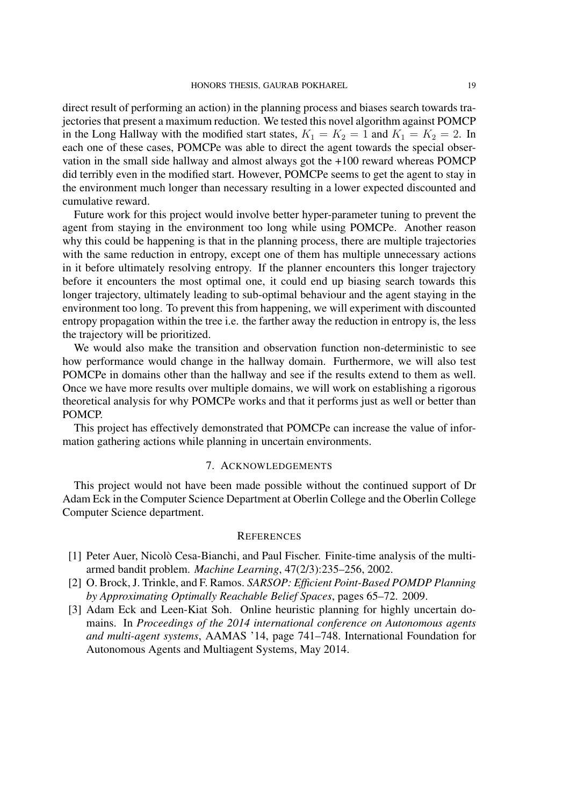direct result of performing an action) in the planning process and biases search towards trajectories that present a maximum reduction. We tested this novel algorithm against POMCP in the Long Hallway with the modified start states,  $K_1 = K_2 = 1$  and  $K_1 = K_2 = 2$ . In each one of these cases, POMCPe was able to direct the agent towards the special observation in the small side hallway and almost always got the +100 reward whereas POMCP did terribly even in the modified start. However, POMCPe seems to get the agent to stay in the environment much longer than necessary resulting in a lower expected discounted and cumulative reward.

Future work for this project would involve better hyper-parameter tuning to prevent the agent from staying in the environment too long while using POMCPe. Another reason why this could be happening is that in the planning process, there are multiple trajectories with the same reduction in entropy, except one of them has multiple unnecessary actions in it before ultimately resolving entropy. If the planner encounters this longer trajectory before it encounters the most optimal one, it could end up biasing search towards this longer trajectory, ultimately leading to sub-optimal behaviour and the agent staying in the environment too long. To prevent this from happening, we will experiment with discounted entropy propagation within the tree i.e. the farther away the reduction in entropy is, the less the trajectory will be prioritized.

We would also make the transition and observation function non-deterministic to see how performance would change in the hallway domain. Furthermore, we will also test POMCPe in domains other than the hallway and see if the results extend to them as well. Once we have more results over multiple domains, we will work on establishing a rigorous theoretical analysis for why POMCPe works and that it performs just as well or better than POMCP.

This project has effectively demonstrated that POMCPe can increase the value of information gathering actions while planning in uncertain environments.

#### 7. ACKNOWLEDGEMENTS

This project would not have been made possible without the continued support of Dr Adam Eck in the Computer Science Department at Oberlin College and the Oberlin College Computer Science department.

#### **REFERENCES**

- <span id="page-19-2"></span>[1] Peter Auer, Nicolo Cesa-Bianchi, and Paul Fischer. Finite-time analysis of the multi- ` armed bandit problem. *Machine Learning*, 47(2/3):235–256, 2002.
- <span id="page-19-0"></span>[2] O. Brock, J. Trinkle, and F. Ramos. *SARSOP: Efficient Point-Based POMDP Planning by Approximating Optimally Reachable Belief Spaces*, pages 65–72. 2009.
- <span id="page-19-1"></span>[3] Adam Eck and Leen-Kiat Soh. Online heuristic planning for highly uncertain domains. In *Proceedings of the 2014 international conference on Autonomous agents and multi-agent systems*, AAMAS '14, page 741–748. International Foundation for Autonomous Agents and Multiagent Systems, May 2014.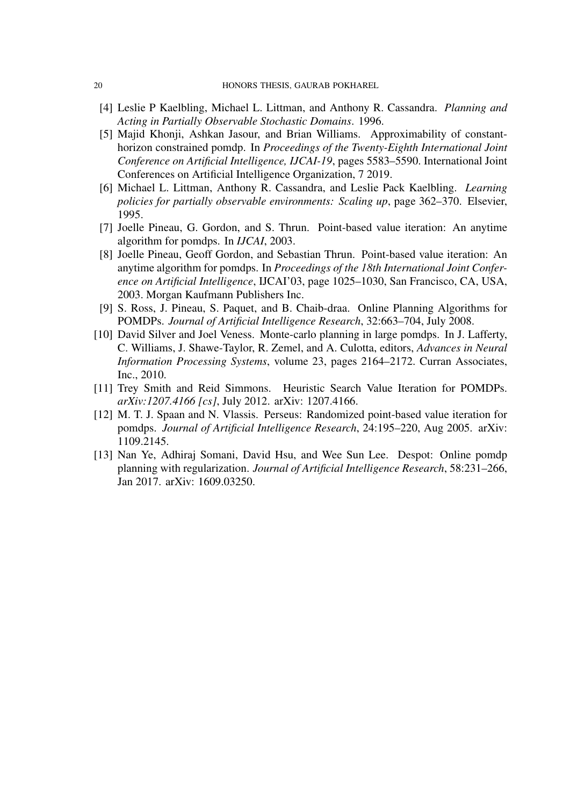- <span id="page-20-3"></span>[4] Leslie P Kaelbling, Michael L. Littman, and Anthony R. Cassandra. *Planning and Acting in Partially Observable Stochastic Domains*. 1996.
- <span id="page-20-4"></span>[5] Majid Khonji, Ashkan Jasour, and Brian Williams. Approximability of constanthorizon constrained pomdp. In *Proceedings of the Twenty-Eighth International Joint Conference on Artificial Intelligence, IJCAI-19*, pages 5583–5590. International Joint Conferences on Artificial Intelligence Organization, 7 2019.
- <span id="page-20-2"></span>[6] Michael L. Littman, Anthony R. Cassandra, and Leslie Pack Kaelbling. *Learning policies for partially observable environments: Scaling up*, page 362–370. Elsevier, 1995.
- <span id="page-20-5"></span>[7] Joelle Pineau, G. Gordon, and S. Thrun. Point-based value iteration: An anytime algorithm for pomdps. In *IJCAI*, 2003.
- <span id="page-20-1"></span>[8] Joelle Pineau, Geoff Gordon, and Sebastian Thrun. Point-based value iteration: An anytime algorithm for pomdps. In *Proceedings of the 18th International Joint Conference on Artificial Intelligence*, IJCAI'03, page 1025–1030, San Francisco, CA, USA, 2003. Morgan Kaufmann Publishers Inc.
- <span id="page-20-9"></span>[9] S. Ross, J. Pineau, S. Paquet, and B. Chaib-draa. Online Planning Algorithms for POMDPs. *Journal of Artificial Intelligence Research*, 32:663–704, July 2008.
- <span id="page-20-0"></span>[10] David Silver and Joel Veness. Monte-carlo planning in large pomdps. In J. Lafferty, C. Williams, J. Shawe-Taylor, R. Zemel, and A. Culotta, editors, *Advances in Neural Information Processing Systems*, volume 23, pages 2164–2172. Curran Associates, Inc., 2010.
- <span id="page-20-6"></span>[11] Trey Smith and Reid Simmons. Heuristic Search Value Iteration for POMDPs. *arXiv:1207.4166 [cs]*, July 2012. arXiv: 1207.4166.
- <span id="page-20-7"></span>[12] M. T. J. Spaan and N. Vlassis. Perseus: Randomized point-based value iteration for pomdps. *Journal of Artificial Intelligence Research*, 24:195–220, Aug 2005. arXiv: 1109.2145.
- <span id="page-20-8"></span>[13] Nan Ye, Adhiraj Somani, David Hsu, and Wee Sun Lee. Despot: Online pomdp planning with regularization. *Journal of Artificial Intelligence Research*, 58:231–266, Jan 2017. arXiv: 1609.03250.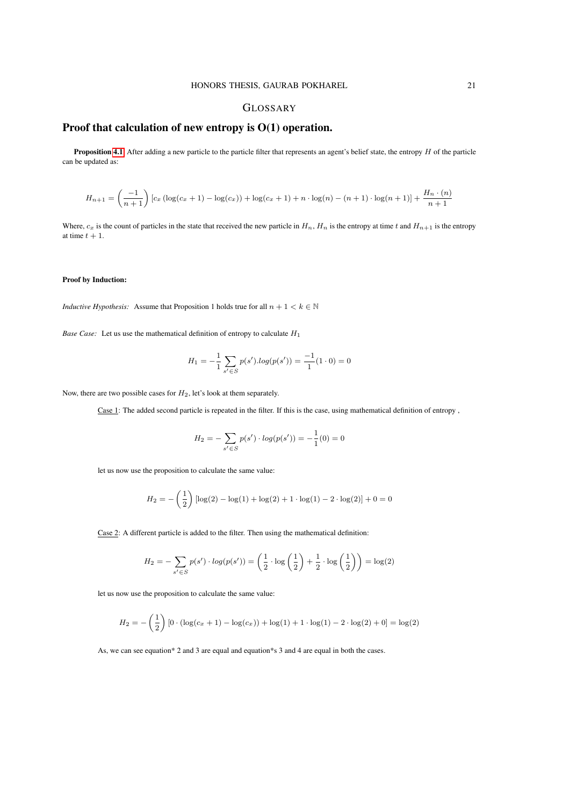#### GLOSSARY

## Proof that calculation of new entropy is O(1) operation.

**Proposition [4.1](#page-15-0)** After adding a new particle to the particle filter that represents an agent's belief state, the entropy  $H$  of the particle can be updated as:

$$
H_{n+1} = \left(\frac{-1}{n+1}\right) \left[c_x \left(\log(c_x + 1) - \log(c_x)\right) + \log(c_x + 1) + n \cdot \log(n) - (n+1) \cdot \log(n+1)\right] + \frac{H_n \cdot (n)}{n+1}
$$

Where,  $c_x$  is the count of particles in the state that received the new particle in  $H_n$ ,  $H_n$  is the entropy at time t and  $H_{n+1}$  is the entropy at time  $t + 1$ .

#### Proof by Induction:

*Inductive Hypothesis:* Assume that Proposition 1 holds true for all  $n + 1 < k \in \mathbb{N}$ 

*Base Case:* Let us use the mathematical definition of entropy to calculate  $H_1$ 

$$
H_1 = -\frac{1}{1} \sum_{s' \in S} p(s') \cdot \log(p(s')) = -\frac{1}{1} (1 \cdot 0) = 0
$$

Now, there are two possible cases for  $H_2$ , let's look at them separately.

Case 1: The added second particle is repeated in the filter. If this is the case, using mathematical definition of entropy ,

$$
H_2 = -\sum_{s' \in S} p(s') \cdot log(p(s')) = -\frac{1}{1}(0) = 0
$$

let us now use the proposition to calculate the same value:

$$
H_2 = -\left(\frac{1}{2}\right) \left[ \log(2) - \log(1) + \log(2) + 1 \cdot \log(1) - 2 \cdot \log(2) \right] + 0 = 0
$$

Case 2: A different particle is added to the filter. Then using the mathematical definition:

$$
H_2 = -\sum_{s' \in S} p(s') \cdot log(p(s')) = \left(\frac{1}{2} \cdot log\left(\frac{1}{2}\right) + \frac{1}{2} \cdot log\left(\frac{1}{2}\right)\right) = log(2)
$$

let us now use the proposition to calculate the same value:

$$
H_2 = -\left(\frac{1}{2}\right) \left[ 0 \cdot (\log(c_x + 1) - \log(c_x)) + \log(1) + 1 \cdot \log(1) - 2 \cdot \log(2) + 0 \right] = \log(2)
$$

As, we can see equation\* 2 and 3 are equal and equation\*s 3 and 4 are equal in both the cases.